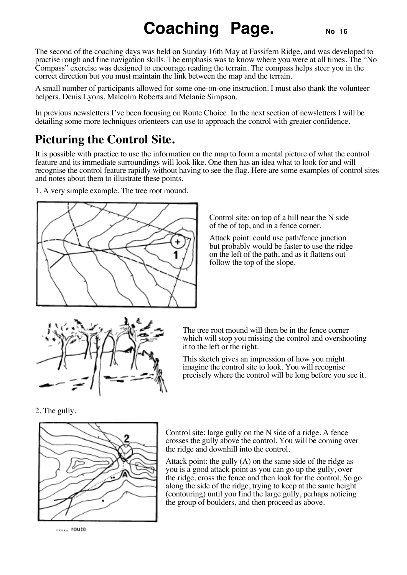## **Coaching Page.** No 16

The second of the coaching days was held on Sunday 16th May at Fassifern Ridge, and was developed to practise rough and fine navigation skills. The emphasis was to know where you were at all times. The "No Compass" exercise was designed to encourage reading the terrain. The compass helps steer you in the correct direction but you must maintain the link between the map and the terrain.

A small number of participants allowed for some one-on-one instruction. I must also thank the volunteer helpers, Denis Lyons, Malcolm Roberts and Melanie Simpson.

In previous newsletters I've been focusing on Route Choice. In the next section of newsletters I will be detailing some more techniques orienteers can use to approach the control with greater confidence.

## **Picturing the Control Site.**

It is possible with practice to use the information on the map to form a mental picture of what the control feature and its immediate surroundings will look like. One then has an idea what to look for and will recognise the control feature rapidly without having to see the flag. Here are some examples of control sites and notes about them to illustrate these points.

1. A very simple example. The tree root mound.



Control site: on top of a hill near the N side of the of top, and in a fence corner.

Attack point: could use path/fence junction but probably would be faster to use the ridge on the left of the path, and as it flattens out follow the top of the slope.



The tree root mound will then be in the fence corner which will stop you missing the control and overshooting it to the left or the right.

This sketch gives an impression of how you might imagine the control site to look. You will recognise precisely where the control will be long before you see it.

2. The gully.



Control site: large gully on the N side of a ridge. A fence crosses the gully above the control. You will be coming over the ridge and downhill into the control.

Attack point: the gully (A) on the same side of the ridge as you is a good attack point as you can go up the gully, over the ridge, cross the fence and then look for the control. So go along the side of the ridge, trying to keep at the same height (contouring) until you find the large gully, perhaps noticing the group of boulders, and then proceed as above.